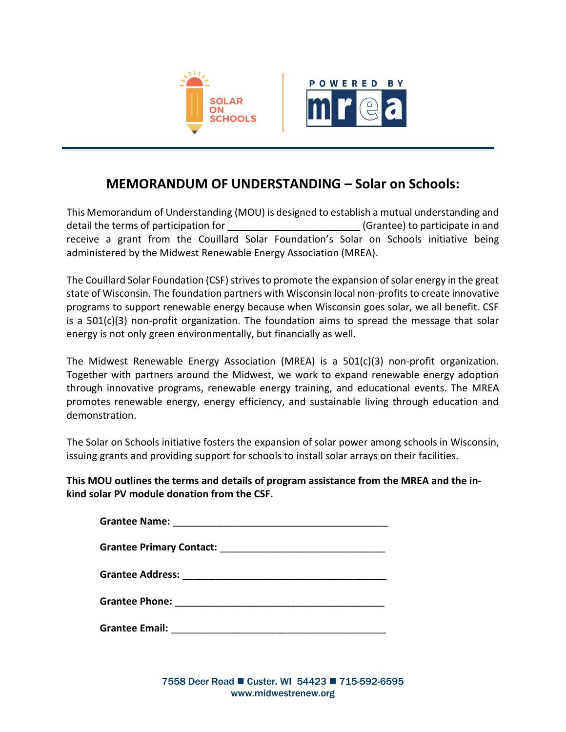



## **MEMORANDUM OF UNDERSTANDING – Solar on Schools:**

This Memorandum of Understanding (MOU) is designed to establish a mutual understanding and detail the terms of participation for **the control of the control of the control** (Grantee) to participate in and receive a grant from the Couillard Solar Foundation's Solar on Schools initiative being administered by the Midwest Renewable Energy Association (MREA).

The Couillard Solar Foundation (CSF) strives to promote the expansion of solar energy in the great state of Wisconsin. The foundation partners with Wisconsin local non-profits to create innovative programs to support renewable energy because when Wisconsin goes solar, we all benefit. CSF is a  $501(c)(3)$  non-profit organization. The foundation aims to spread the message that solar energy is not only green environmentally, but financially as well.

The Midwest Renewable Energy Association (MREA) is a  $501(c)(3)$  non-profit organization. Together with partners around the Midwest, we work to expand renewable energy adoption through innovative programs, renewable energy training, and educational events. The MREA promotes renewable energy, energy efficiency, and sustainable living through education and demonstration.

The Solar on Schools initiative fosters the expansion of solar power among schools in Wisconsin, issuing grants and providing support for schools to install solar arrays on their facilities.

**This MOU outlines the terms and details of program assistance from the MREA and the inkind solar PV module donation from the CSF.**

| <b>Grantee Primary Contact:</b>                                                                               |
|---------------------------------------------------------------------------------------------------------------|
|                                                                                                               |
| Grantee Phone: 2008 2010 2021 2022 2023 2024 2022 2022 2023 2024 2022 2023 2024 2022 2023 2024 2025 2026 2027 |
| <b>Grantee Email:</b>                                                                                         |

7558 Deer Road ◼ Custer, WI 54423 ◼ 715-592-6595 www.midwestrenew.org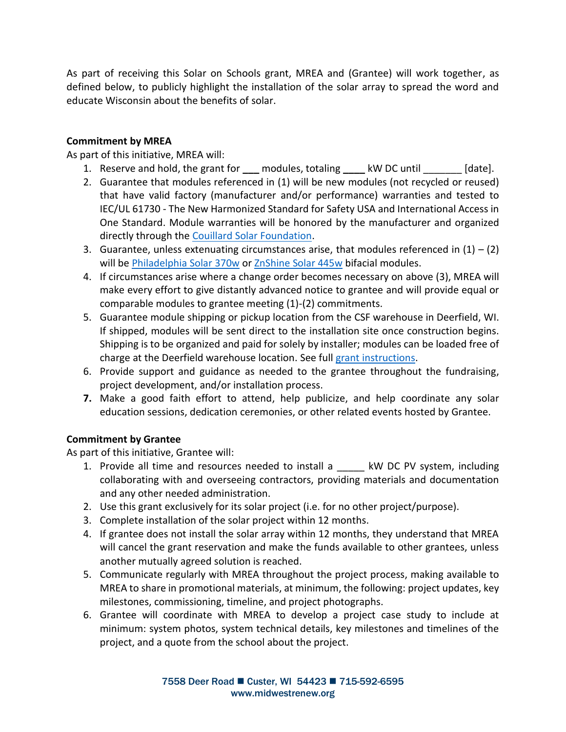As part of receiving this Solar on Schools grant, MREA and (Grantee) will work together, as defined below, to publicly highlight the installation of the solar array to spread the word and educate Wisconsin about the benefits of solar.

## **Commitment by MREA**

As part of this initiative, MREA will:

- 1. Reserve and hold, the grant for **\_\_\_** modules, totaling **\_\_\_\_** kW DC until \_\_\_\_\_\_\_ [date].
- 2. Guarantee that modules referenced in (1) will be new modules (not recycled or reused) that have valid factory (manufacturer and/or performance) warranties and tested to IEC/UL 61730 - The New Harmonized Standard for Safety USA and International Access in One Standard. Module warranties will be honored by the manufacturer and organized directly through the [Couillard Solar Foundation.](https://www.couillardsolarfoundation.org/)
- 3. Guarantee, unless extenuating circumstances arise, that modules referenced in  $(1) (2)$ will be [Philadelphia Solar 370w](https://www.midwestrenew.org/wp-content/uploads/2020/04/Speed-Solar-Bi-Facial-PS-M72-datasheet-4-20-20.pdf) or [ZnShine Solar 445w](https://www.midwestrenew.org/wp-content/uploads/2021/11/ZenShine-SpeedSolar-Spec_2.1.pdf) bifacial modules.
- 4. If circumstances arise where a change order becomes necessary on above (3), MREA will make every effort to give distantly advanced notice to grantee and will provide equal or comparable modules to grantee meeting (1)-(2) commitments.
- 5. Guarantee module shipping or pickup location from the CSF warehouse in Deerfield, WI. If shipped, modules will be sent direct to the installation site once construction begins. Shipping is to be organized and paid for solely by installer; modules can be loaded free of charge at the Deerfield warehouse location. See full grant [instructions.](https://www.midwestrenew.org/wp-content/uploads/2021/11/CSF-Grant-Instructions_10.2021.pdf)
- 6. Provide support and guidance as needed to the grantee throughout the fundraising, project development, and/or installation process.
- **7.** Make a good faith effort to attend, help publicize, and help coordinate any solar education sessions, dedication ceremonies, or other related events hosted by Grantee.

## **Commitment by Grantee**

As part of this initiative, Grantee will:

- 1. Provide all time and resources needed to install a \_\_\_\_\_ kW DC PV system, including collaborating with and overseeing contractors, providing materials and documentation and any other needed administration.
- 2. Use this grant exclusively for its solar project (i.e. for no other project/purpose).
- 3. Complete installation of the solar project within 12 months.
- 4. If grantee does not install the solar array within 12 months, they understand that MREA will cancel the grant reservation and make the funds available to other grantees, unless another mutually agreed solution is reached.
- 5. Communicate regularly with MREA throughout the project process, making available to MREA to share in promotional materials, at minimum, the following: project updates, key milestones, commissioning, timeline, and project photographs.
- 6. Grantee will coordinate with MREA to develop a project case study to include at minimum: system photos, system technical details, key milestones and timelines of the project, and a quote from the school about the project.